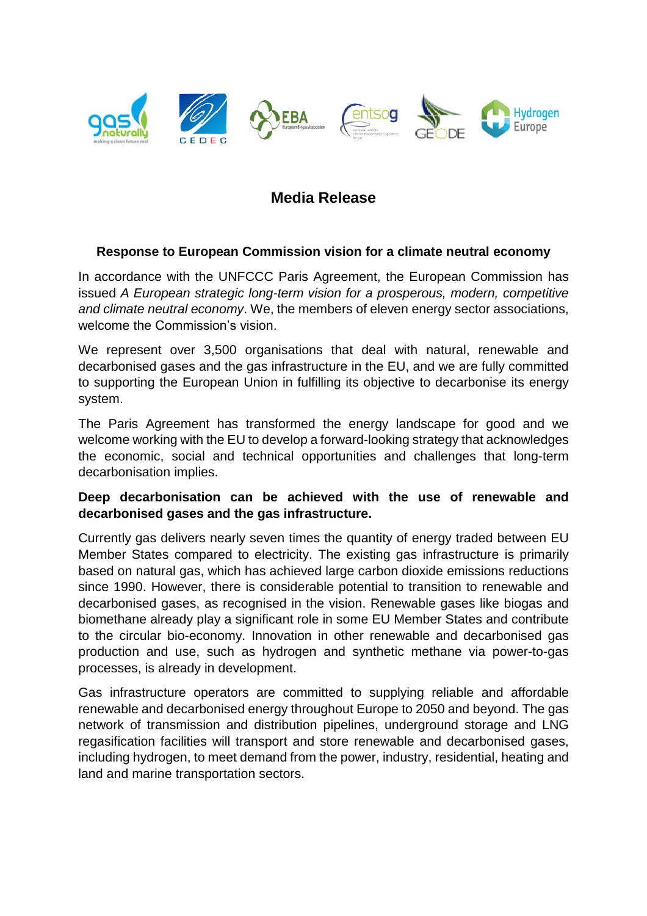

# **Media Release**

## **Response to European Commission vision for a climate neutral economy**

In accordance with the UNFCCC Paris Agreement, the European Commission has issued *A European strategic long-term vision for a prosperous, modern, competitive and climate neutral economy*. We, the members of eleven energy sector associations, welcome the Commission's vision.

We represent over 3,500 organisations that deal with natural, renewable and decarbonised gases and the gas infrastructure in the EU, and we are fully committed to supporting the European Union in fulfilling its objective to decarbonise its energy system.

The Paris Agreement has transformed the energy landscape for good and we welcome working with the EU to develop a forward-looking strategy that acknowledges the economic, social and technical opportunities and challenges that long-term decarbonisation implies.

## **Deep decarbonisation can be achieved with the use of renewable and decarbonised gases and the gas infrastructure.**

Currently gas delivers nearly seven times the quantity of energy traded between EU Member States compared to electricity. The existing gas infrastructure is primarily based on natural gas, which has achieved large carbon dioxide emissions reductions since 1990. However, there is considerable potential to transition to renewable and decarbonised gases, as recognised in the vision. Renewable gases like biogas and biomethane already play a significant role in some EU Member States and contribute to the circular bio-economy. Innovation in other renewable and decarbonised gas production and use, such as hydrogen and synthetic methane via power-to-gas processes, is already in development.

Gas infrastructure operators are committed to supplying reliable and affordable renewable and decarbonised energy throughout Europe to 2050 and beyond. The gas network of transmission and distribution pipelines, underground storage and LNG regasification facilities will transport and store renewable and decarbonised gases, including hydrogen, to meet demand from the power, industry, residential, heating and land and marine transportation sectors.